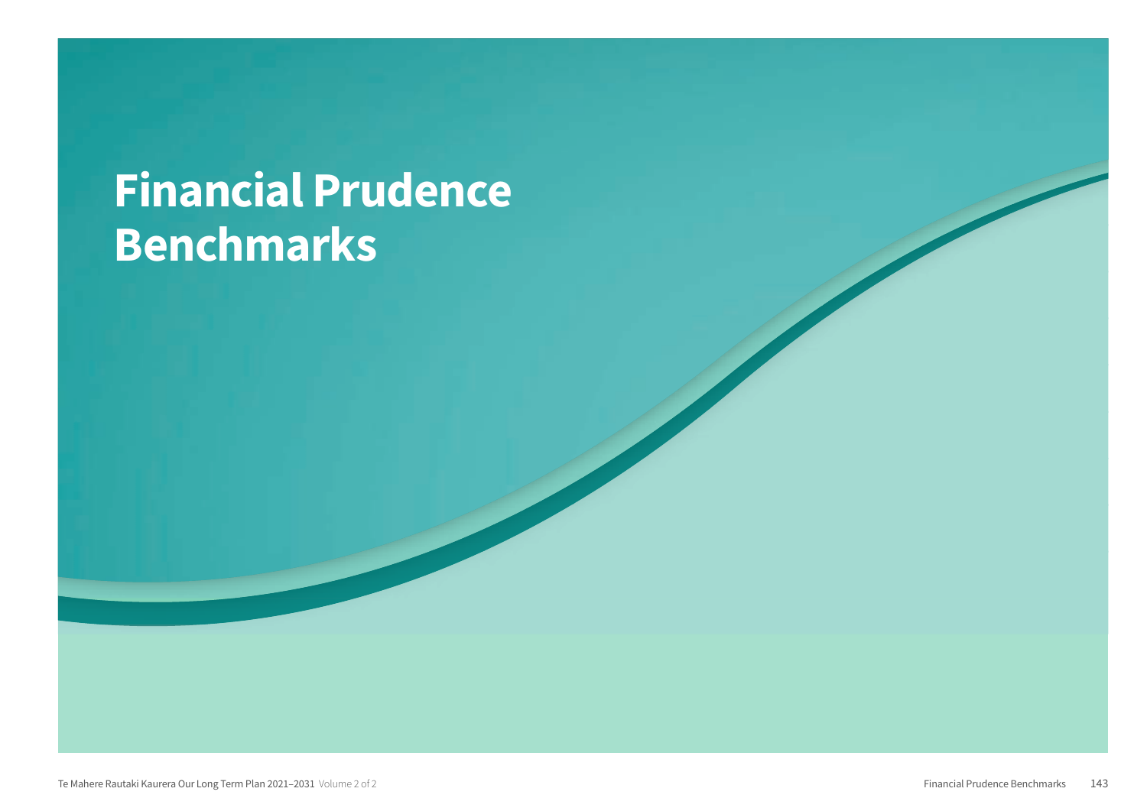# **Financial Prudence Benchmarks**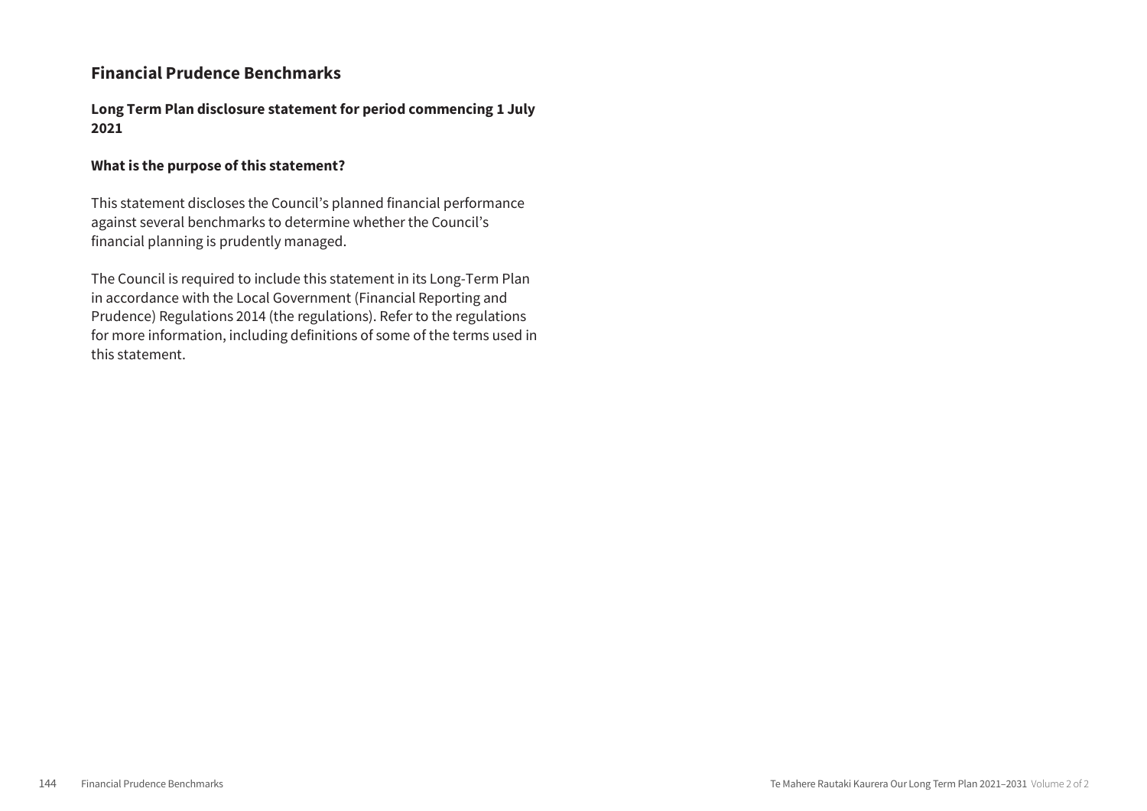## **Financial Prudence Benchmarks**

**Long Term Plan disclosure statement for period commencing 1 July 2021**

## **What is the purpose of this statement?**

This statement discloses the Council's planned financial performance against several benchmarks to determine whether the Council's financial planning is prudently managed.

The Council is required to include this statement in its Long-Term Plan in accordance with the Local Government (Financial Reporting and Prudence) Regulations 2014 (the regulations). Refer to the regulations for more information, including definitions of some of the terms used in this statement.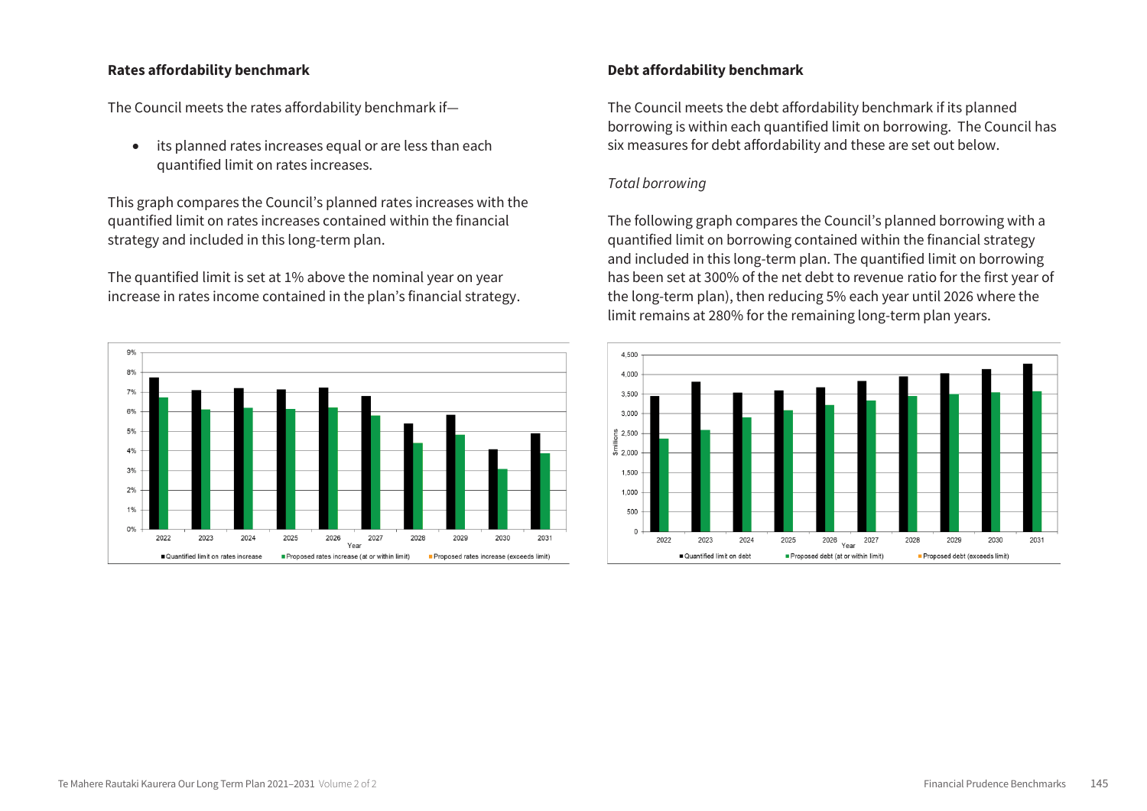#### **Rates affordability benchmark**

The Council meets the rates affordability benchmark if—

 its planned rates increases equal or are less than each quantified limit on rates increases.

This graph compares the Council's planned rates increases with the quantified limit on rates increases contained within the financial strategy and included in this long-term plan.

The quantified limit is set at 1% above the nominal year on year increase in rates income contained in the plan's financial strategy.



## **Debt affordability benchmark**

The Council meets the debt affordability benchmark if its planned borrowing is within each quantified limit on borrowing. The Council has six measures for debt affordability and these are set out below.

#### *Total borrowing*

The following graph compares the Council's planned borrowing with a quantified limit on borrowing contained within the financial strategy and included in this long-term plan. The quantified limit on borrowing has been set at 300% of the net debt to revenue ratio for the first year of the long-term plan), then reducing 5% each year until 2026 where the limit remains at 280% for the remaining long-term plan years.

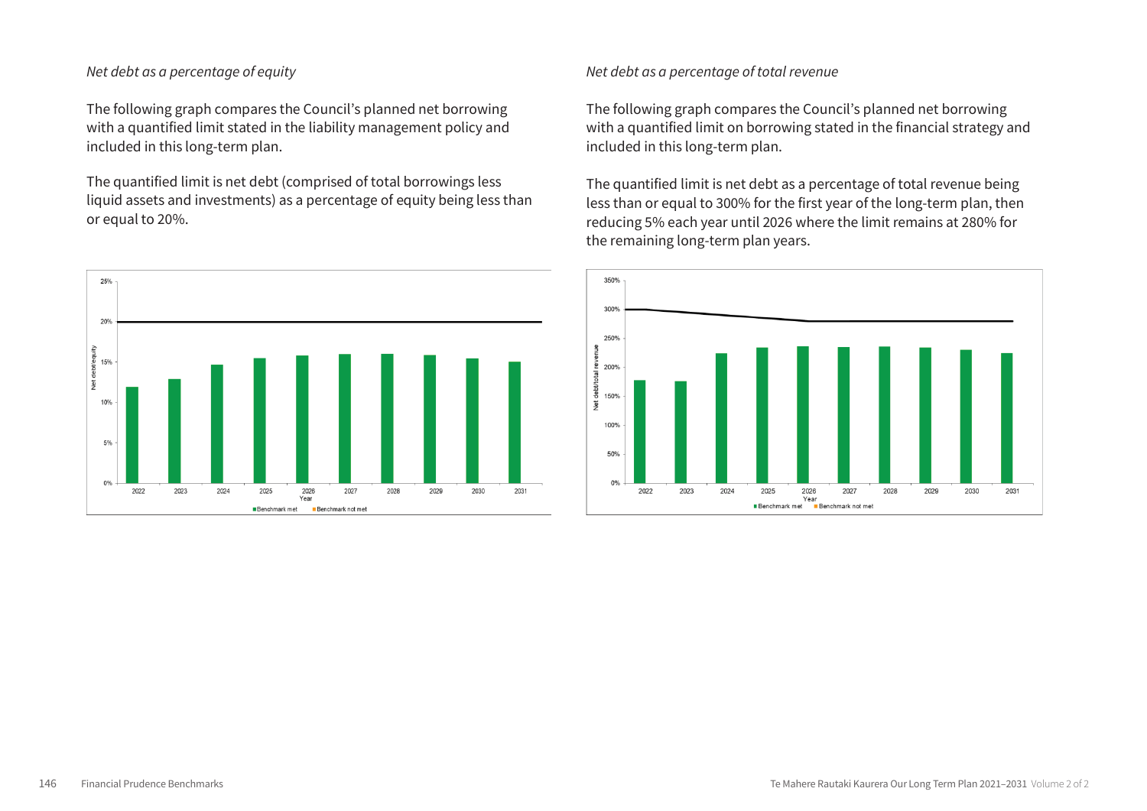## *Net debt as a percentage of equity*

The following graph compares the Council's planned net borrowing with a quantified limit stated in the liability management policy and included in this long-term plan.

The quantified limit is net debt (comprised of total borrowings less liquid assets and investments) as a percentage of equity being less than or equal to 20%.



*Net debt as a percentage of total revenue*

The following graph compares the Council's planned net borrowing with a quantified limit on borrowing stated in the financial strategy and included in this long-term plan.

The quantified limit is net debt as a percentage of total revenue being less than or equal to 300% for the first year of the long-term plan, then reducing 5% each year until 2026 where the limit remains at 280% for the remaining long-term plan years.

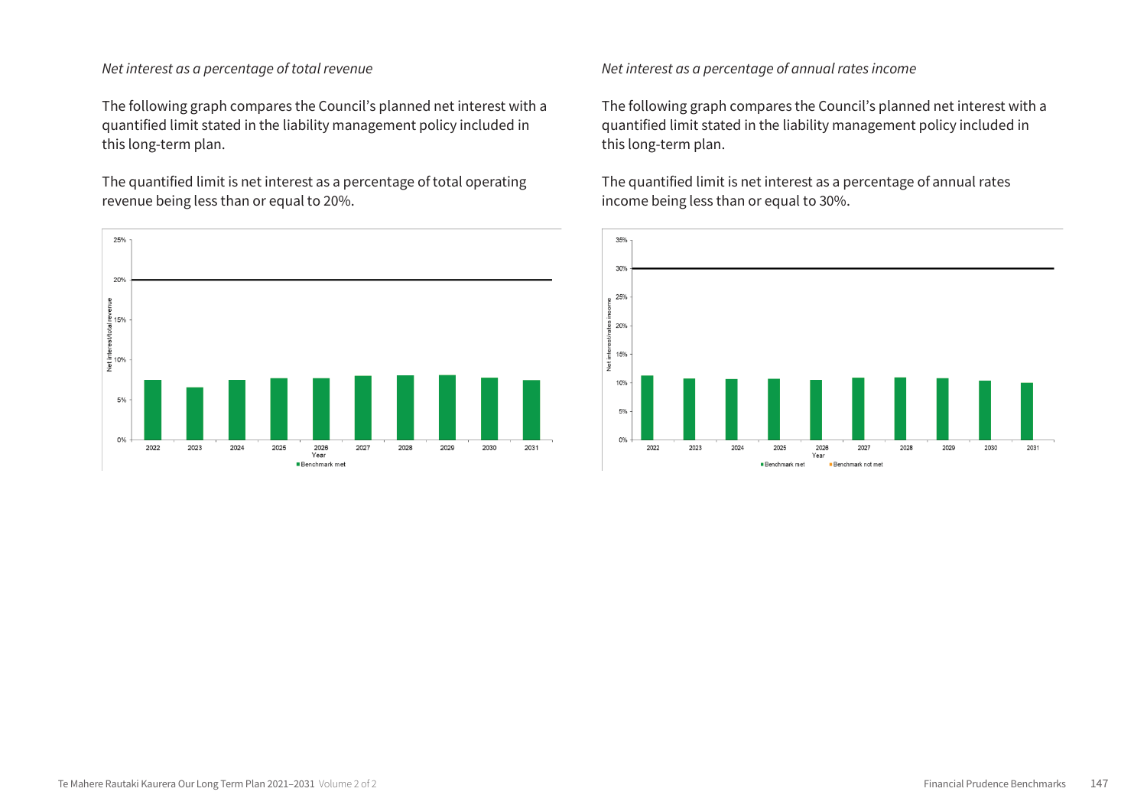#### *Net interest as a percentage of total revenue*

The following graph compares the Council's planned net interest with a quantified limit stated in the liability management policy included in this long-term plan.

The quantified limit is net interest as a percentage of total operating revenue being less than or equal to 20%.



*Net interest as a percentage of annual rates income*

The following graph compares the Council's planned net interest with a quantified limit stated in the liability management policy included in this long-term plan.

The quantified limit is net interest as a percentage of annual rates income being less than or equal to 30%.

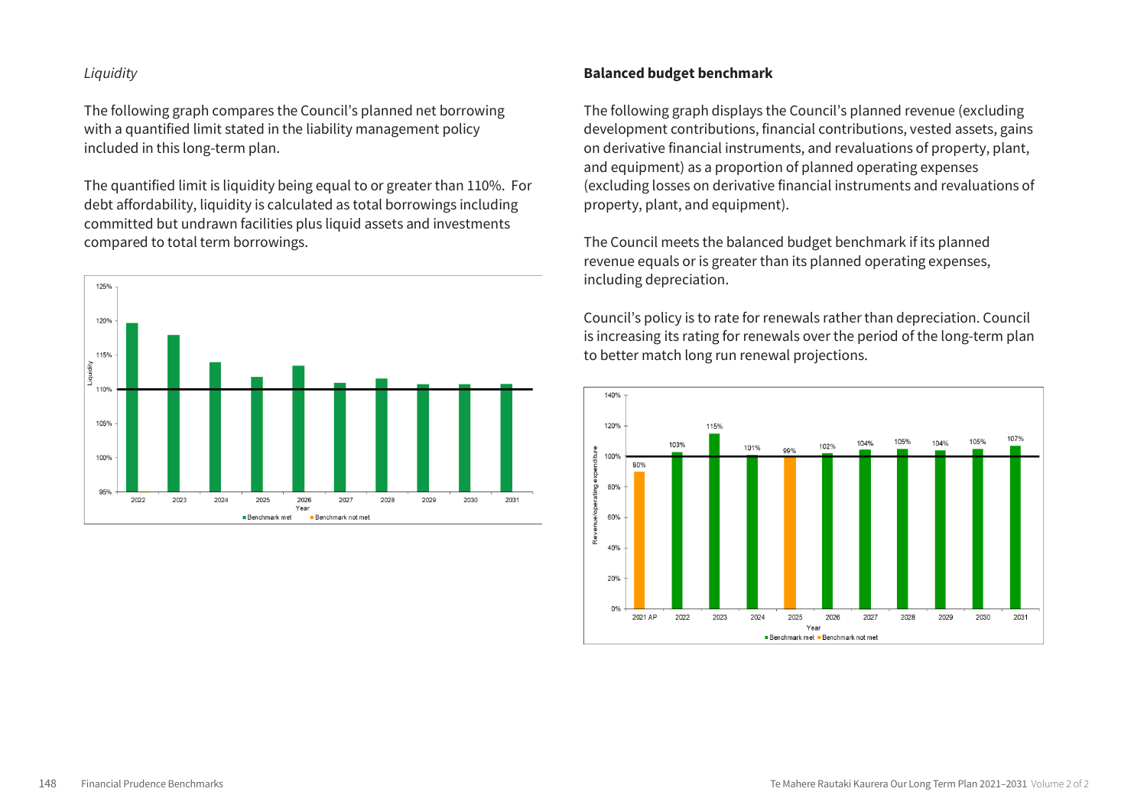## *Liquidity*

The following graph compares the Council's planned net borrowing with a quantified limit stated in the liability management policy included in this long-term plan.

The quantified limit is liquidity being equal to or greater than 110%. For debt affordability, liquidity is calculated as total borrowings including committed but undrawn facilities plus liquid assets and investments compared to total term borrowings.



## **Balanced budget benchmark**

The following graph displays the Council's planned revenue (excluding development contributions, financial contributions, vested assets, gains on derivative financial instruments, and revaluations of property, plant, and equipment) as a proportion of planned operating expenses (excluding losses on derivative financial instruments and revaluations of property, plant, and equipment).

The Council meets the balanced budget benchmark if its planned revenue equals or is greater than its planned operating expenses, including depreciation.

Council's policy is to rate for renewals rather than depreciation. Council is increasing its rating for renewals over the period of the long-term plan to better match long run renewal projections.